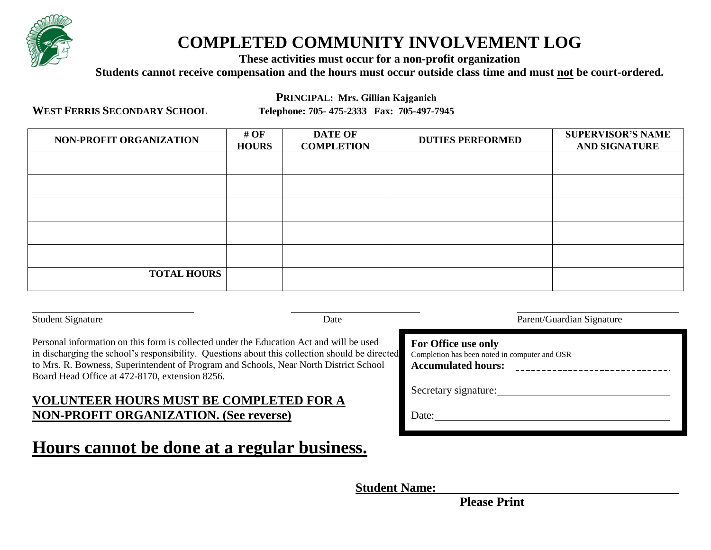

# **COMPLETED COMMUNITY INVOLVEMENT LOG**

**These activities must occur for a non-profit organization** 

**Students cannot receive compensation and the hours must occur outside class time and must not be court-ordered.** 

**PRINCIPAL: Mrs. Gillian Kajganich**

**WEST FERRIS SECONDARY SCHOOL**

**Telephone: 705- 475-2333 Fax: 705-497-7945**

| NON-PROFIT ORGANIZATION | # OF<br><b>HOURS</b> | <b>DATE OF</b><br><b>COMPLETION</b> | <b>DUTIES PERFORMED</b> | <b>SUPERVISOR'S NAME</b><br><b>AND SIGNATURE</b> |
|-------------------------|----------------------|-------------------------------------|-------------------------|--------------------------------------------------|
|                         |                      |                                     |                         |                                                  |
|                         |                      |                                     |                         |                                                  |
|                         |                      |                                     |                         |                                                  |
|                         |                      |                                     |                         |                                                  |
|                         |                      |                                     |                         |                                                  |
| <b>TOTAL HOURS</b>      |                      |                                     |                         |                                                  |

Student Signature Parent/Guardian Signature Parent/Guardian Signature

Personal information on this form is collected under the Education Act and will be used in discharging the school's responsibility. Questions about this collection should be directed to Mrs. R. Bowness, Superintendent of Program and Schools, Near North District School Board Head Office at 472-8170, extension 8256.

# **VOLUNTEER HOURS MUST BE COMPLETED FOR A NON-PROFIT ORGANIZATION. (See reverse)**

# **Hours cannot be done at a regular business.**

| d | For Office use only<br>Completion has been noted in computer and OSR<br><b>Accumulated hours:</b> |  |  |
|---|---------------------------------------------------------------------------------------------------|--|--|
|   | Secretary signature:                                                                              |  |  |
|   | Date:                                                                                             |  |  |

**Student Name:** 

 **Please Print**